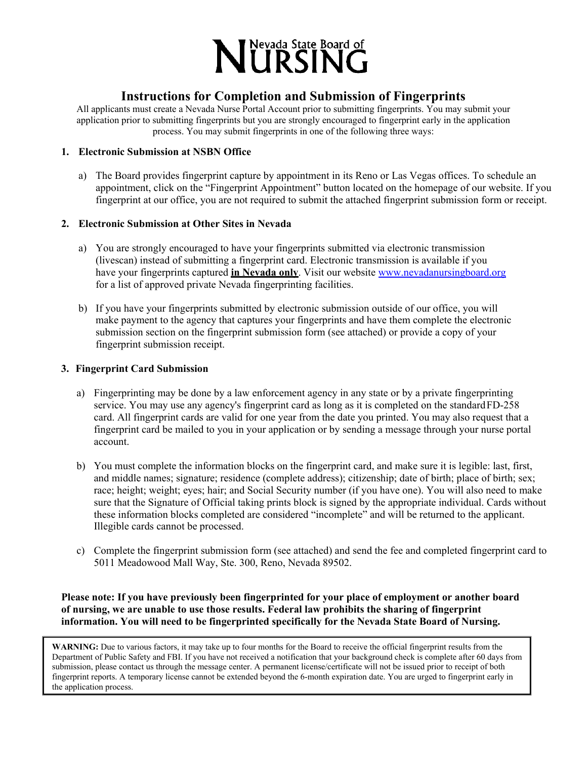

# **Instructions for Completion and Submission of Fingerprints**

All applicants must create a Nevada Nurse Portal Account prior to submitting fingerprints. You may submit your application prior to submitting fingerprints but you are strongly encouraged to fingerprint early in the application process. You may submit fingerprints in one of the following three ways:

# **1. Electronic Submission at NSBN Office**

a) The Board provides fingerprint capture by appointment in its Reno or Las Vegas offices. To schedule an appointment, click on the "Fingerprint Appointment" button located on the homepage of our website. If you fingerprint at our office, you are not required to submit the attached fingerprint submission form or receipt.

## **2. Electronic Submission at Other Sites in Nevada**

- a) You are strongly encouraged to have your fingerprints submitted via electronic transmission (livescan) instead of submitting a fingerprint card. Electronic transmission is available if you have your fingerprints captured **in Nevada only**. Visit our website [www.nevadanursingboard.org](http://www.nevadanursingboard.org/) for a list of approved private Nevada fingerprinting facilities.
- b) If you have your fingerprints submitted by electronic submission outside of our office, you will make payment to the agency that captures your fingerprints and have them complete the electronic submission section on the fingerprint submission form (see attached) or provide a copy of your fingerprint submission receipt.

### **3. Fingerprint Card Submission**

- a) Fingerprinting may be done by a law enforcement agency in any state or by a private fingerprinting service. You may use any agency's fingerprint card as long as it is completed on the standard FD-258 card. All fingerprint cards are valid for one year from the date you printed. You may also request that a fingerprint card be mailed to you in your application or by sending a message through your nurse portal account.
- b) You must complete the information blocks on the fingerprint card, and make sure it is legible: last, first, and middle names; signature; residence (complete address); citizenship; date of birth; place of birth; sex; race; height; weight; eyes; hair; and Social Security number (if you have one). You will also need to make sure that the Signature of Official taking prints block is signed by the appropriate individual. Cards without these information blocks completed are considered "incomplete" and will be returned to the applicant. Illegible cards cannot be processed.
- c) Complete the fingerprint submission form (see attached) and send the fee and completed fingerprint card to 5011 Meadowood Mall Way, Ste. 300, Reno, Nevada 89502.

# **Please note: If you have previously been fingerprinted for your place of employment or another board of nursing, we are unable to use those results. Federal law prohibits the sharing of fingerprint information. You will need to be fingerprinted specifically for the Nevada State Board of Nursing.**

**WARNING:** Due to various factors, it may take up to four months for the Board to receive the official fingerprint results from the Department of Public Safety and FBI. If you have not received a notification that your background check is complete after 60 days from submission, please contact us through the message center. A permanent license/certificate will not be issued prior to receipt of both fingerprint reports. A temporary license cannot be extended beyond the 6-month expiration date. You are urged to fingerprint early in the application process.